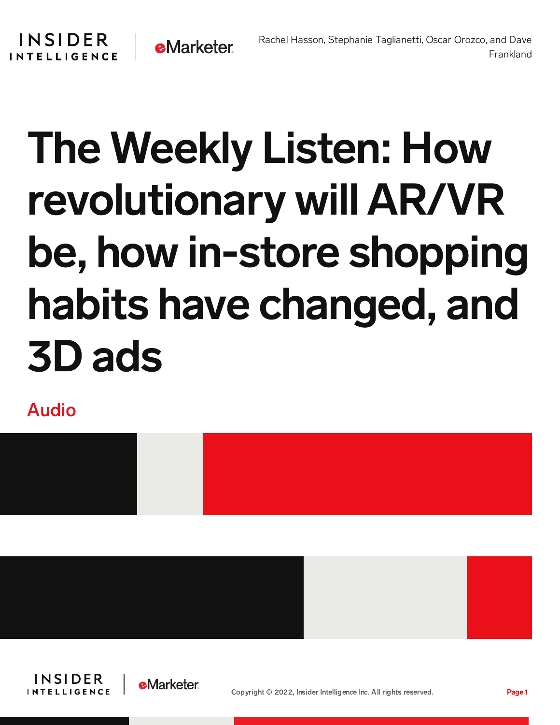## The Weekly Listen: How revolutionary will AR/VR be, how in-store shopping habits have changed, and 3D ads

**e**Marketer

Audio

**INSIDER** 

**INTELLIGENCE** 







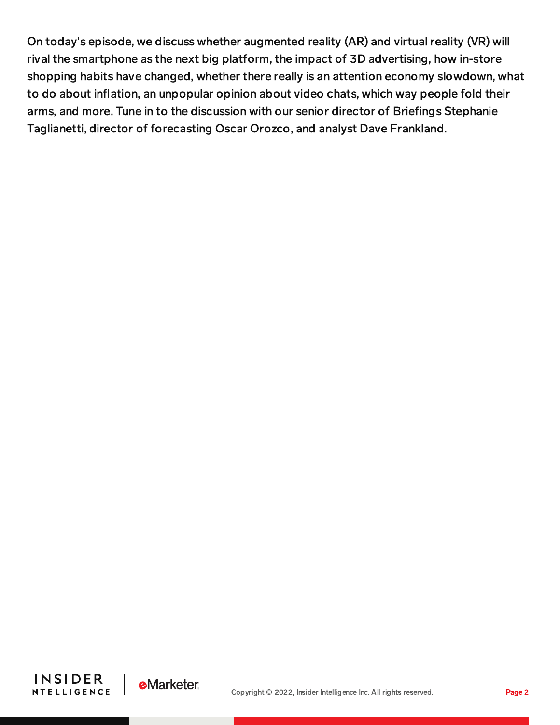On today's episode, we discuss whether augmented reality (AR) and virtual reality (VR) will rival the smartphone as the next big platform, the impact of 3D advertising, how in-store shopping habits have changed, whether there really is an attention economy slowdown, what to do about inflation, an unpopular opinion about video chats, which way people fold their arms, and more. Tune in to the discussion with our senior director of Briefings Stephanie Taglianetti, director of forecasting Oscar Orozco, and analyst Dave Frankland.



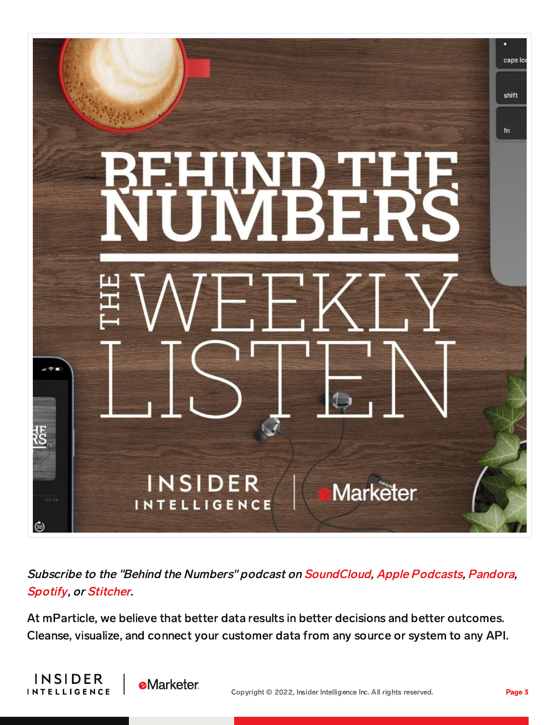

Subscribe to the "Behind the Numbers" podcast on [SoundCloud](https://soundcloud.com/behind-the-numbers), Apple [Podcasts](https://podcasts.apple.com/us/podcast/behind-the-numbers-emarketer-podcast/id1113097936), [Pandora](https://www.pandora.com/podcast/behind-the-numbers-emarketer-podcast/PC:21669?part=PC:21669&corr=podcast_organic_external_site&TID=Brand:POC:PC21669:podcast_organic_external_site), [Spotify](https://open.spotify.com/show/7C9j1qi6NI4Uct9gWfFdxk), or [Stitcher](https://www.stitcher.com/podcast/emarketer-behind-the-numbers/behind-the-numbers).

At mParticle, we believe that better data results in better decisions and better outcomes. Cleanse, visualize, and connect your customer data from any source or system to any API.